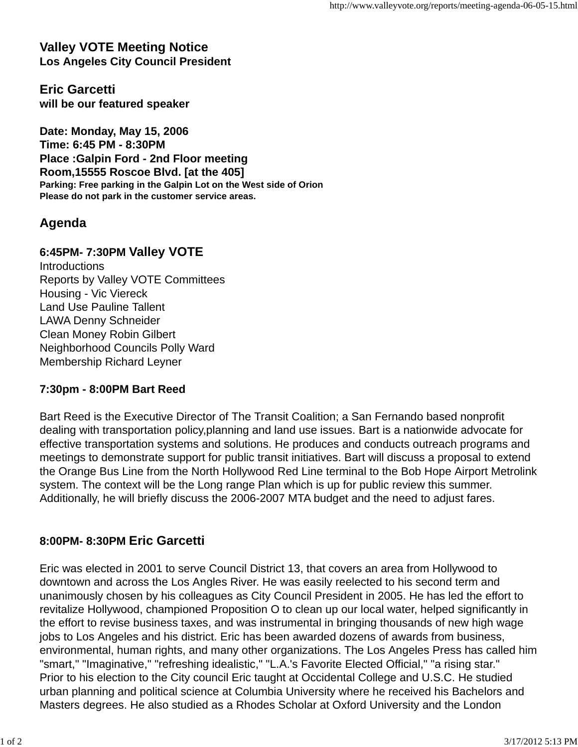**Valley VOTE Meeting Notice Los Angeles City Council President**

**Eric Garcetti will be our featured speaker**

**Date: Monday, May 15, 2006 Time: 6:45 PM - 8:30PM Place :Galpin Ford - 2nd Floor meeting Room,15555 Roscoe Blvd. [at the 405] Parking: Free parking in the Galpin Lot on the West side of Orion Please do not park in the customer service areas.**

# **Agenda**

## **6:45PM- 7:30PM Valley VOTE**

**Introductions** Reports by Valley VOTE Committees Housing - Vic Viereck Land Use Pauline Tallent LAWA Denny Schneider Clean Money Robin Gilbert Neighborhood Councils Polly Ward Membership Richard Leyner

### **7:30pm - 8:00PM Bart Reed**

Bart Reed is the Executive Director of The Transit Coalition; a San Fernando based nonprofit dealing with transportation policy,planning and land use issues. Bart is a nationwide advocate for effective transportation systems and solutions. He produces and conducts outreach programs and meetings to demonstrate support for public transit initiatives. Bart will discuss a proposal to extend the Orange Bus Line from the North Hollywood Red Line terminal to the Bob Hope Airport Metrolink system. The context will be the Long range Plan which is up for public review this summer. Additionally, he will briefly discuss the 2006-2007 MTA budget and the need to adjust fares.

### **8:00PM- 8:30PM Eric Garcetti**

Eric was elected in 2001 to serve Council District 13, that covers an area from Hollywood to downtown and across the Los Angles River. He was easily reelected to his second term and unanimously chosen by his colleagues as City Council President in 2005. He has led the effort to revitalize Hollywood, championed Proposition O to clean up our local water, helped significantly in the effort to revise business taxes, and was instrumental in bringing thousands of new high wage jobs to Los Angeles and his district. Eric has been awarded dozens of awards from business, environmental, human rights, and many other organizations. The Los Angeles Press has called him "smart," "Imaginative," "refreshing idealistic," "L.A.'s Favorite Elected Official," "a rising star." Prior to his election to the City council Eric taught at Occidental College and U.S.C. He studied urban planning and political science at Columbia University where he received his Bachelors and Masters degrees. He also studied as a Rhodes Scholar at Oxford University and the London